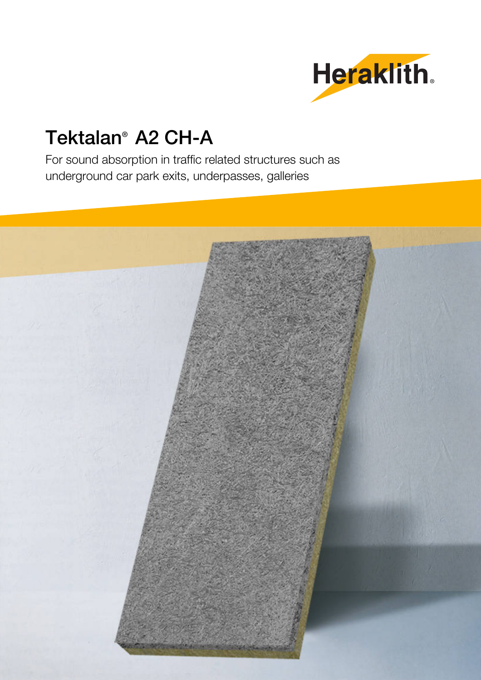

# Tektalan® A2 CH-A

For sound absorption in traffic related structures such as underground car park exits, underpasses, galleries